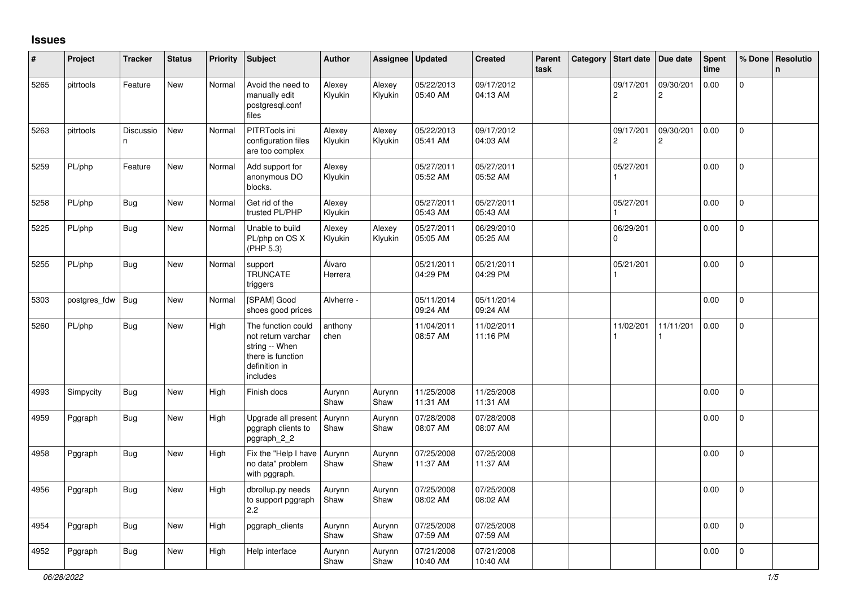## **Issues**

| #    | Project      | <b>Tracker</b>  | <b>Status</b> | <b>Priority</b> | <b>Subject</b>                                                                                               | <b>Author</b>     | Assignee          | <b>Updated</b>         | <b>Created</b>         | Parent<br>task | Category | Start date                  | Due date                    | <b>Spent</b><br>time | % Done       | <b>Resolutio</b><br>$\mathsf{n}$ |
|------|--------------|-----------------|---------------|-----------------|--------------------------------------------------------------------------------------------------------------|-------------------|-------------------|------------------------|------------------------|----------------|----------|-----------------------------|-----------------------------|----------------------|--------------|----------------------------------|
| 5265 | pitrtools    | Feature         | <b>New</b>    | Normal          | Avoid the need to<br>manually edit<br>postgresql.conf<br>files                                               | Alexey<br>Klyukin | Alexey<br>Klyukin | 05/22/2013<br>05:40 AM | 09/17/2012<br>04:13 AM |                |          | 09/17/201<br>$\overline{2}$ | 09/30/201<br>$\overline{2}$ | 0.00                 | $\mathbf{0}$ |                                  |
| 5263 | pitrtools    | Discussio<br>n. | New           | Normal          | PITRTools ini<br>configuration files<br>are too complex                                                      | Alexey<br>Klyukin | Alexey<br>Klyukin | 05/22/2013<br>05:41 AM | 09/17/2012<br>04:03 AM |                |          | 09/17/201<br>$\overline{c}$ | 09/30/201<br>$\overline{c}$ | 0.00                 | $\mathbf 0$  |                                  |
| 5259 | PL/php       | Feature         | New           | Normal          | Add support for<br>anonymous DO<br>blocks.                                                                   | Alexey<br>Klyukin |                   | 05/27/2011<br>05:52 AM | 05/27/2011<br>05:52 AM |                |          | 05/27/201                   |                             | 0.00                 | $\pmb{0}$    |                                  |
| 5258 | PL/php       | <b>Bug</b>      | New           | Normal          | Get rid of the<br>trusted PL/PHP                                                                             | Alexey<br>Klyukin |                   | 05/27/2011<br>05:43 AM | 05/27/2011<br>05:43 AM |                |          | 05/27/201                   |                             | 0.00                 | $\Omega$     |                                  |
| 5225 | PL/php       | Bug             | <b>New</b>    | Normal          | Unable to build<br>PL/php on OS X<br>(PHP 5.3)                                                               | Alexey<br>Klyukin | Alexey<br>Klyukin | 05/27/2011<br>05:05 AM | 06/29/2010<br>05:25 AM |                |          | 06/29/201<br>$\Omega$       |                             | 0.00                 | $\mathbf 0$  |                                  |
| 5255 | PL/php       | <b>Bug</b>      | New           | Normal          | support<br><b>TRUNCATE</b><br>triggers                                                                       | Álvaro<br>Herrera |                   | 05/21/2011<br>04:29 PM | 05/21/2011<br>04:29 PM |                |          | 05/21/201                   |                             | 0.00                 | $\mathbf{0}$ |                                  |
| 5303 | postgres_fdw | <b>Bug</b>      | <b>New</b>    | Normal          | [SPAM] Good<br>shoes good prices                                                                             | Alvherre -        |                   | 05/11/2014<br>09:24 AM | 05/11/2014<br>09:24 AM |                |          |                             |                             | 0.00                 | $\mathbf 0$  |                                  |
| 5260 | PL/php       | Bug             | New           | High            | The function could<br>not return varchar<br>string -- When<br>there is function<br>definition in<br>includes | anthony<br>chen   |                   | 11/04/2011<br>08:57 AM | 11/02/2011<br>11:16 PM |                |          | 11/02/201                   | 11/11/201                   | 0.00                 | $\mathbf 0$  |                                  |
| 4993 | Simpycity    | <b>Bug</b>      | <b>New</b>    | High            | Finish docs                                                                                                  | Aurynn<br>Shaw    | Aurynn<br>Shaw    | 11/25/2008<br>11:31 AM | 11/25/2008<br>11:31 AM |                |          |                             |                             | 0.00                 | $\mathbf{0}$ |                                  |
| 4959 | Pggraph      | Bug             | New           | High            | Upgrade all present<br>pggraph clients to<br>pggraph_2_2                                                     | Aurynn<br>Shaw    | Aurynn<br>Shaw    | 07/28/2008<br>08:07 AM | 07/28/2008<br>08:07 AM |                |          |                             |                             | 0.00                 | 0            |                                  |
| 4958 | Pggraph      | Bug             | New           | High            | Fix the "Help I have<br>no data" problem<br>with pggraph.                                                    | Aurynn<br>Shaw    | Aurynn<br>Shaw    | 07/25/2008<br>11:37 AM | 07/25/2008<br>11:37 AM |                |          |                             |                             | 0.00                 | 0            |                                  |
| 4956 | Pggraph      | <b>Bug</b>      | New           | High            | dbrollup.py needs<br>to support pggraph<br>2.2                                                               | Aurynn<br>Shaw    | Aurynn<br>Shaw    | 07/25/2008<br>08:02 AM | 07/25/2008<br>08:02 AM |                |          |                             |                             | 0.00                 | $\mathbf 0$  |                                  |
| 4954 | Pggraph      | Bug             | <b>New</b>    | High            | pggraph clients                                                                                              | Aurynn<br>Shaw    | Aurynn<br>Shaw    | 07/25/2008<br>07:59 AM | 07/25/2008<br>07:59 AM |                |          |                             |                             | 0.00                 | $\mathbf 0$  |                                  |
| 4952 | Pggraph      | Bug             | New           | High            | Help interface                                                                                               | Aurynn<br>Shaw    | Aurynn<br>Shaw    | 07/21/2008<br>10:40 AM | 07/21/2008<br>10:40 AM |                |          |                             |                             | 0.00                 | 0            |                                  |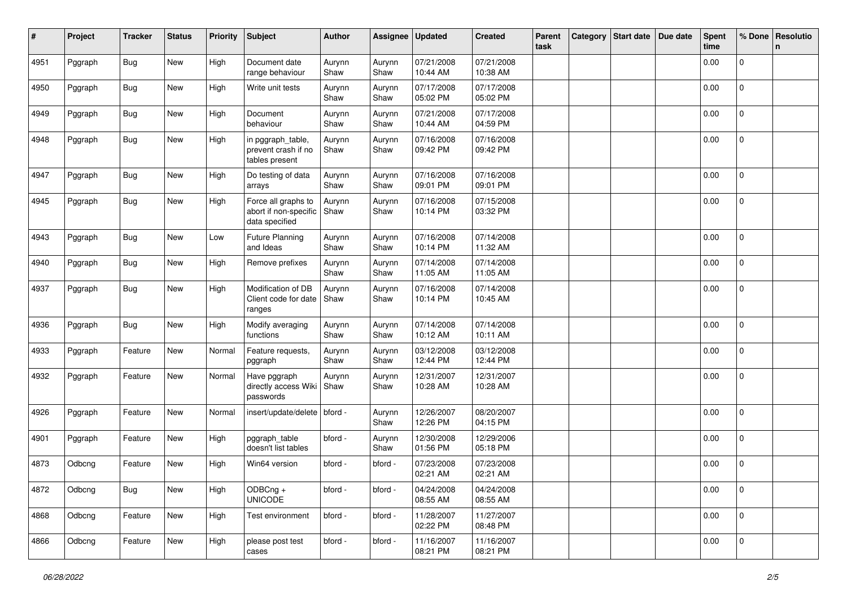| #    | Project | <b>Tracker</b> | <b>Status</b> | <b>Priority</b> | <b>Subject</b>                                                 | Author         | Assignee       | <b>Updated</b>         | <b>Created</b>         | Parent<br>task | Category | <b>Start date</b> | Due date | <b>Spent</b><br>time | % Done      | Resolutio<br>n |
|------|---------|----------------|---------------|-----------------|----------------------------------------------------------------|----------------|----------------|------------------------|------------------------|----------------|----------|-------------------|----------|----------------------|-------------|----------------|
| 4951 | Pggraph | Bug            | New           | High            | Document date<br>range behaviour                               | Aurynn<br>Shaw | Aurynn<br>Shaw | 07/21/2008<br>10:44 AM | 07/21/2008<br>10:38 AM |                |          |                   |          | 0.00                 | $\mathbf 0$ |                |
| 4950 | Pggraph | Bug            | New           | High            | Write unit tests                                               | Aurynn<br>Shaw | Aurynn<br>Shaw | 07/17/2008<br>05:02 PM | 07/17/2008<br>05:02 PM |                |          |                   |          | 0.00                 | 0           |                |
| 4949 | Pggraph | Bug            | New           | High            | Document<br>behaviour                                          | Aurynn<br>Shaw | Aurynn<br>Shaw | 07/21/2008<br>10:44 AM | 07/17/2008<br>04:59 PM |                |          |                   |          | 0.00                 | 0           |                |
| 4948 | Pggraph | Bug            | New           | High            | in pggraph_table,<br>prevent crash if no<br>tables present     | Aurynn<br>Shaw | Aurynn<br>Shaw | 07/16/2008<br>09:42 PM | 07/16/2008<br>09:42 PM |                |          |                   |          | 0.00                 | 0           |                |
| 4947 | Pggraph | Bug            | New           | High            | Do testing of data<br>arrays                                   | Aurynn<br>Shaw | Aurynn<br>Shaw | 07/16/2008<br>09:01 PM | 07/16/2008<br>09:01 PM |                |          |                   |          | 0.00                 | 0           |                |
| 4945 | Pggraph | Bug            | New           | High            | Force all graphs to<br>abort if non-specific<br>data specified | Aurynn<br>Shaw | Aurynn<br>Shaw | 07/16/2008<br>10:14 PM | 07/15/2008<br>03:32 PM |                |          |                   |          | 0.00                 | $\mathbf 0$ |                |
| 4943 | Pggraph | Bug            | New           | Low             | <b>Future Planning</b><br>and Ideas                            | Aurynn<br>Shaw | Aurynn<br>Shaw | 07/16/2008<br>10:14 PM | 07/14/2008<br>11:32 AM |                |          |                   |          | 0.00                 | $\mathbf 0$ |                |
| 4940 | Pggraph | <b>Bug</b>     | New           | High            | Remove prefixes                                                | Aurynn<br>Shaw | Aurynn<br>Shaw | 07/14/2008<br>11:05 AM | 07/14/2008<br>11:05 AM |                |          |                   |          | 0.00                 | $\mathbf 0$ |                |
| 4937 | Pggraph | <b>Bug</b>     | New           | High            | Modification of DB<br>Client code for date<br>ranges           | Aurynn<br>Shaw | Aurynn<br>Shaw | 07/16/2008<br>10:14 PM | 07/14/2008<br>10:45 AM |                |          |                   |          | 0.00                 | 0           |                |
| 4936 | Pggraph | <b>Bug</b>     | New           | High            | Modify averaging<br>functions                                  | Aurynn<br>Shaw | Aurynn<br>Shaw | 07/14/2008<br>10:12 AM | 07/14/2008<br>10:11 AM |                |          |                   |          | 0.00                 | 0           |                |
| 4933 | Pggraph | Feature        | New           | Normal          | Feature requests,<br>pggraph                                   | Aurynn<br>Shaw | Aurynn<br>Shaw | 03/12/2008<br>12:44 PM | 03/12/2008<br>12:44 PM |                |          |                   |          | 0.00                 | 0           |                |
| 4932 | Pggraph | Feature        | New           | Normal          | Have pggraph<br>directly access Wiki<br>passwords              | Aurynn<br>Shaw | Aurynn<br>Shaw | 12/31/2007<br>10:28 AM | 12/31/2007<br>10:28 AM |                |          |                   |          | 0.00                 | 0           |                |
| 4926 | Pggraph | Feature        | New           | Normal          | insert/update/delete   bford -                                 |                | Aurynn<br>Shaw | 12/26/2007<br>12:26 PM | 08/20/2007<br>04:15 PM |                |          |                   |          | 0.00                 | $\mathbf 0$ |                |
| 4901 | Pggraph | Feature        | New           | High            | pggraph_table<br>doesn't list tables                           | bford -        | Aurynn<br>Shaw | 12/30/2008<br>01:56 PM | 12/29/2006<br>05:18 PM |                |          |                   |          | 0.00                 | $\mathbf 0$ |                |
| 4873 | Odbcng  | Feature        | New           | High            | Win64 version                                                  | bford -        | bford -        | 07/23/2008<br>02:21 AM | 07/23/2008<br>02:21 AM |                |          |                   |          | 0.00                 | 0           |                |
| 4872 | Odbcng  | <b>Bug</b>     | New           | High            | ODBCng +<br><b>UNICODE</b>                                     | bford -        | bford -        | 04/24/2008<br>08:55 AM | 04/24/2008<br>08:55 AM |                |          |                   |          | 0.00                 | $\mathbf 0$ |                |
| 4868 | Odbcng  | Feature        | New           | High            | Test environment                                               | bford -        | bford -        | 11/28/2007<br>02:22 PM | 11/27/2007<br>08:48 PM |                |          |                   |          | 0.00                 | $\mathbf 0$ |                |
| 4866 | Odbcng  | Feature        | New           | High            | please post test<br>cases                                      | bford -        | bford -        | 11/16/2007<br>08:21 PM | 11/16/2007<br>08:21 PM |                |          |                   |          | 0.00                 | $\mathbf 0$ |                |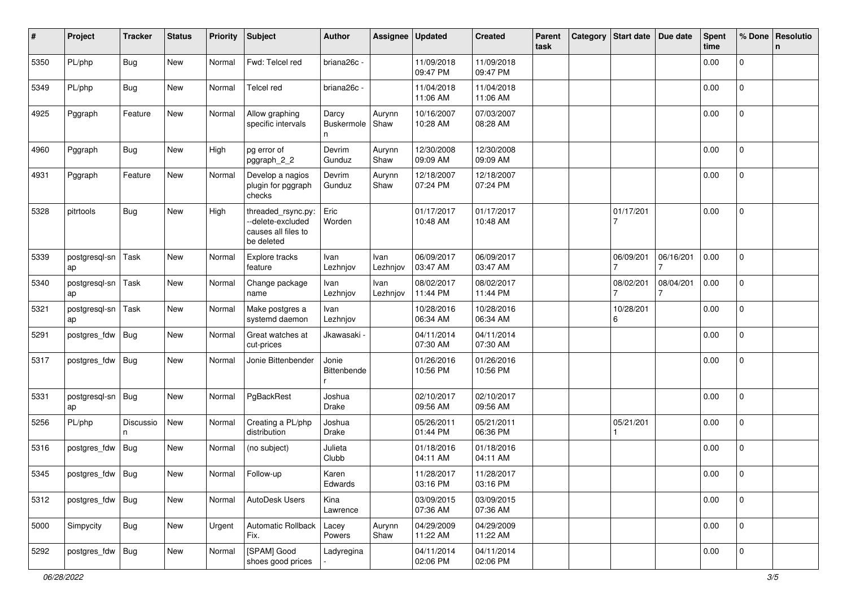| #    | Project             | <b>Tracker</b> | <b>Status</b> | <b>Priority</b> | Subject                                                                      | Author                   | Assignee         | <b>Updated</b>         | <b>Created</b>         | Parent<br>task | Category | <b>Start date</b> | Due date  | <b>Spent</b><br>time | % Done              | Resolutio<br>n |
|------|---------------------|----------------|---------------|-----------------|------------------------------------------------------------------------------|--------------------------|------------------|------------------------|------------------------|----------------|----------|-------------------|-----------|----------------------|---------------------|----------------|
| 5350 | PL/php              | <b>Bug</b>     | New           | Normal          | Fwd: Telcel red                                                              | briana26c -              |                  | 11/09/2018<br>09:47 PM | 11/09/2018<br>09:47 PM |                |          |                   |           | 0.00                 | 0                   |                |
| 5349 | PL/php              | <b>Bug</b>     | New           | Normal          | <b>Telcel red</b>                                                            | briana26c -              |                  | 11/04/2018<br>11:06 AM | 11/04/2018<br>11:06 AM |                |          |                   |           | 0.00                 | 0                   |                |
| 4925 | Pggraph             | Feature        | New           | Normal          | Allow graphing<br>specific intervals                                         | Darcy<br>Buskermole<br>n | Aurynn<br>Shaw   | 10/16/2007<br>10:28 AM | 07/03/2007<br>08:28 AM |                |          |                   |           | 0.00                 | $\overline{0}$      |                |
| 4960 | Pggraph             | Bug            | New           | High            | pg error of<br>pggraph_2_2                                                   | Devrim<br>Gunduz         | Aurynn<br>Shaw   | 12/30/2008<br>09:09 AM | 12/30/2008<br>09:09 AM |                |          |                   |           | 0.00                 | 0                   |                |
| 4931 | Pggraph             | Feature        | New           | Normal          | Develop a nagios<br>plugin for pggraph<br>checks                             | Devrim<br>Gunduz         | Aurynn<br>Shaw   | 12/18/2007<br>07:24 PM | 12/18/2007<br>07:24 PM |                |          |                   |           | 0.00                 | 0                   |                |
| 5328 | pitrtools           | Bug            | New           | High            | threaded_rsync.py:<br>--delete-excluded<br>causes all files to<br>be deleted | Eric<br>Worden           |                  | 01/17/2017<br>10:48 AM | 01/17/2017<br>10:48 AM |                |          | 01/17/201<br>7    |           | 0.00                 | 0                   |                |
| 5339 | postgresql-sn<br>ap | Task           | New           | Normal          | Explore tracks<br>feature                                                    | Ivan<br>Lezhnjov         | Ivan<br>Lezhnjov | 06/09/2017<br>03:47 AM | 06/09/2017<br>03:47 AM |                |          | 06/09/201         | 06/16/201 | 0.00                 | $\mathbf{0}$        |                |
| 5340 | postgresql-sn<br>ap | Task           | New           | Normal          | Change package<br>name                                                       | Ivan<br>Lezhnjov         | Ivan<br>Lezhnjov | 08/02/2017<br>11:44 PM | 08/02/2017<br>11:44 PM |                |          | 08/02/201         | 08/04/201 | 0.00                 | 0                   |                |
| 5321 | postgresql-sn<br>ap | Task           | New           | Normal          | Make postgres a<br>systemd daemon                                            | Ivan<br>Lezhnjov         |                  | 10/28/2016<br>06:34 AM | 10/28/2016<br>06:34 AM |                |          | 10/28/201<br>6    |           | 0.00                 | 0                   |                |
| 5291 | postgres_fdw        | <b>Bug</b>     | New           | Normal          | Great watches at<br>cut-prices                                               | Jkawasaki                |                  | 04/11/2014<br>07:30 AM | 04/11/2014<br>07:30 AM |                |          |                   |           | 0.00                 | $\mathbf 0$         |                |
| 5317 | postgres_fdw        | Bug            | New           | Normal          | Jonie Bittenbender                                                           | Jonie<br>Bittenbende     |                  | 01/26/2016<br>10:56 PM | 01/26/2016<br>10:56 PM |                |          |                   |           | 0.00                 | 0                   |                |
| 5331 | postgresql-sn<br>ap | <b>Bug</b>     | New           | Normal          | PgBackRest                                                                   | Joshua<br>Drake          |                  | 02/10/2017<br>09:56 AM | 02/10/2017<br>09:56 AM |                |          |                   |           | 0.00                 | $\Omega$            |                |
| 5256 | PL/php              | Discussio<br>n | New           | Normal          | Creating a PL/php<br>distribution                                            | Joshua<br>Drake          |                  | 05/26/2011<br>01:44 PM | 05/21/2011<br>06:36 PM |                |          | 05/21/201         |           | 0.00                 | 0                   |                |
| 5316 | postgres_fdw        | Bug            | New           | Normal          | (no subject)                                                                 | Julieta<br>Clubb         |                  | 01/18/2016<br>04:11 AM | 01/18/2016<br>04:11 AM |                |          |                   |           | 0.00                 | $\mathbf 0$         |                |
| 5345 | postgres_fdw Bug    |                | New           | Normal          | Follow-up                                                                    | Karen<br>Edwards         |                  | 11/28/2017<br>03:16 PM | 11/28/2017<br>03:16 PM |                |          |                   |           | 0.00                 | $\mathbf 0$         |                |
| 5312 | postgres_fdw        | <b>Bug</b>     | New           | Normal          | AutoDesk Users                                                               | Kina<br>Lawrence         |                  | 03/09/2015<br>07:36 AM | 03/09/2015<br>07:36 AM |                |          |                   |           | 0.00                 | 0                   |                |
| 5000 | Simpycity           | <b>Bug</b>     | New           | Urgent          | Automatic Rollback<br>Fix.                                                   | Lacey<br>Powers          | Aurynn<br>Shaw   | 04/29/2009<br>11:22 AM | 04/29/2009<br>11:22 AM |                |          |                   |           | 0.00                 | $\mathsf{O}\xspace$ |                |
| 5292 | postgres_fdw        | Bug            | New           | Normal          | [SPAM] Good<br>shoes good prices                                             | Ladyregina               |                  | 04/11/2014<br>02:06 PM | 04/11/2014<br>02:06 PM |                |          |                   |           | 0.00                 | $\mathbf 0$         |                |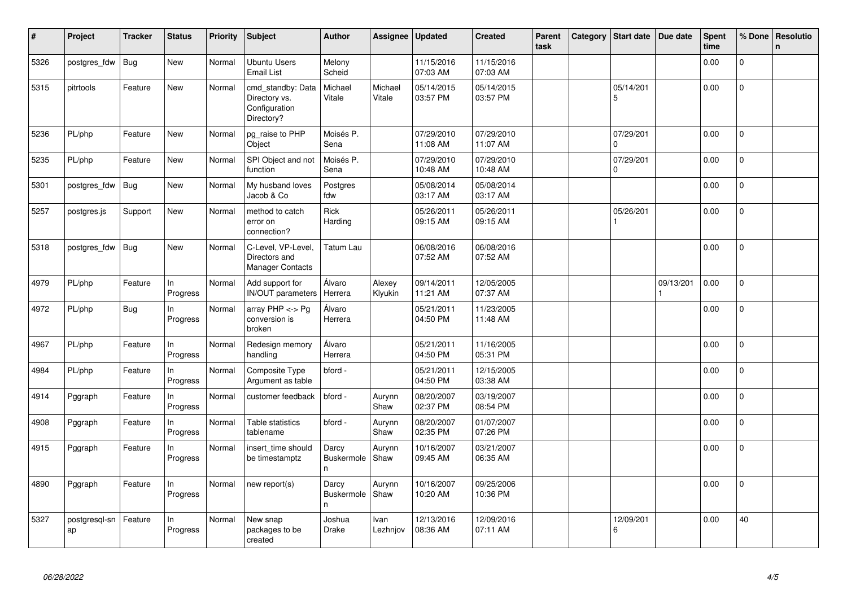| $\#$ | Project             | <b>Tracker</b> | <b>Status</b>  | <b>Priority</b> | Subject                                                           | <b>Author</b>                    | Assignee          | <b>Updated</b>         | <b>Created</b>         | <b>Parent</b><br>task | Category | Start date                  | Due date  | <b>Spent</b><br>time | % Done         | Resolutio<br>$\mathsf{n}$ |
|------|---------------------|----------------|----------------|-----------------|-------------------------------------------------------------------|----------------------------------|-------------------|------------------------|------------------------|-----------------------|----------|-----------------------------|-----------|----------------------|----------------|---------------------------|
| 5326 | postgres_fdw        | <b>Bug</b>     | <b>New</b>     | Normal          | Ubuntu Users<br><b>Email List</b>                                 | Melony<br>Scheid                 |                   | 11/15/2016<br>07:03 AM | 11/15/2016<br>07:03 AM |                       |          |                             |           | 0.00                 | $\Omega$       |                           |
| 5315 | pitrtools           | Feature        | <b>New</b>     | Normal          | cmd_standby: Data<br>Directory vs.<br>Configuration<br>Directory? | Michael<br>Vitale                | Michael<br>Vitale | 05/14/2015<br>03:57 PM | 05/14/2015<br>03:57 PM |                       |          | 05/14/201<br>5              |           | 0.00                 | 0              |                           |
| 5236 | PL/php              | Feature        | New            | Normal          | pg_raise to PHP<br>Object                                         | Moisés P.<br>Sena                |                   | 07/29/2010<br>11:08 AM | 07/29/2010<br>11:07 AM |                       |          | 07/29/201<br>$\Omega$       |           | 0.00                 | $\Omega$       |                           |
| 5235 | PL/php              | Feature        | <b>New</b>     | Normal          | SPI Object and not<br>function                                    | Moisés P.<br>Sena                |                   | 07/29/2010<br>10:48 AM | 07/29/2010<br>10:48 AM |                       |          | 07/29/201<br>$\Omega$       |           | 0.00                 | $\overline{0}$ |                           |
| 5301 | postgres_fdw        | Bug            | <b>New</b>     | Normal          | My husband loves<br>Jacob & Co                                    | Postgres<br>fdw                  |                   | 05/08/2014<br>03:17 AM | 05/08/2014<br>03:17 AM |                       |          |                             |           | 0.00                 | $\mathbf 0$    |                           |
| 5257 | postgres.js         | Support        | <b>New</b>     | Normal          | method to catch<br>error on<br>connection?                        | <b>Rick</b><br>Harding           |                   | 05/26/2011<br>09:15 AM | 05/26/2011<br>09:15 AM |                       |          | 05/26/201<br>$\overline{1}$ |           | 0.00                 | $\overline{0}$ |                           |
| 5318 | postgres fdw        | Bug            | New            | Normal          | C-Level, VP-Level,<br>Directors and<br><b>Manager Contacts</b>    | Tatum Lau                        |                   | 06/08/2016<br>07:52 AM | 06/08/2016<br>07:52 AM |                       |          |                             |           | 0.00                 | 0              |                           |
| 4979 | PL/php              | Feature        | In<br>Progress | Normal          | Add support for<br><b>IN/OUT</b> parameters                       | Álvaro<br>Herrera                | Alexey<br>Klyukin | 09/14/2011<br>11:21 AM | 12/05/2005<br>07:37 AM |                       |          |                             | 09/13/201 | 0.00                 | $\Omega$       |                           |
| 4972 | PL/php              | <b>Bug</b>     | In<br>Progress | Normal          | array $PHP \lt\gt Pg$<br>conversion is<br>broken                  | Álvaro<br>Herrera                |                   | 05/21/2011<br>04:50 PM | 11/23/2005<br>11:48 AM |                       |          |                             |           | 0.00                 | $\Omega$       |                           |
| 4967 | PL/php              | Feature        | In<br>Progress | Normal          | Redesign memory<br>handling                                       | Álvaro<br>Herrera                |                   | 05/21/2011<br>04:50 PM | 11/16/2005<br>05:31 PM |                       |          |                             |           | 0.00                 | $\mathbf 0$    |                           |
| 4984 | PL/php              | Feature        | In<br>Progress | Normal          | Composite Type<br>Argument as table                               | bford -                          |                   | 05/21/2011<br>04:50 PM | 12/15/2005<br>03:38 AM |                       |          |                             |           | 0.00                 | 0              |                           |
| 4914 | Pggraph             | Feature        | In<br>Progress | Normal          | customer feedback                                                 | bford -                          | Aurynn<br>Shaw    | 08/20/2007<br>02:37 PM | 03/19/2007<br>08:54 PM |                       |          |                             |           | 0.00                 | $\Omega$       |                           |
| 4908 | Pggraph             | Feature        | In<br>Progress | Normal          | Table statistics<br>tablename                                     | bford -                          | Aurynn<br>Shaw    | 08/20/2007<br>02:35 PM | 01/07/2007<br>07:26 PM |                       |          |                             |           | 0.00                 | $\overline{0}$ |                           |
| 4915 | Pggraph             | Feature        | In<br>Progress | Normal          | insert time should<br>be timestamptz                              | Darcy<br><b>Buskermole</b><br>n. | Aurynn<br>Shaw    | 10/16/2007<br>09:45 AM | 03/21/2007<br>06:35 AM |                       |          |                             |           | 0.00                 | $\Omega$       |                           |
| 4890 | Pggraph             | Feature        | In<br>Progress | Normal          | new report(s)                                                     | Darcy<br><b>Buskermole</b><br>n. | Aurynn<br>Shaw    | 10/16/2007<br>10:20 AM | 09/25/2006<br>10:36 PM |                       |          |                             |           | 0.00                 | 0              |                           |
| 5327 | postgresgl-sn<br>ap | Feature        | In<br>Progress | Normal          | New snap<br>packages to be<br>created                             | Joshua<br>Drake                  | Ivan<br>Lezhnjov  | 12/13/2016<br>08:36 AM | 12/09/2016<br>07:11 AM |                       |          | 12/09/201<br>6              |           | 0.00                 | 40             |                           |